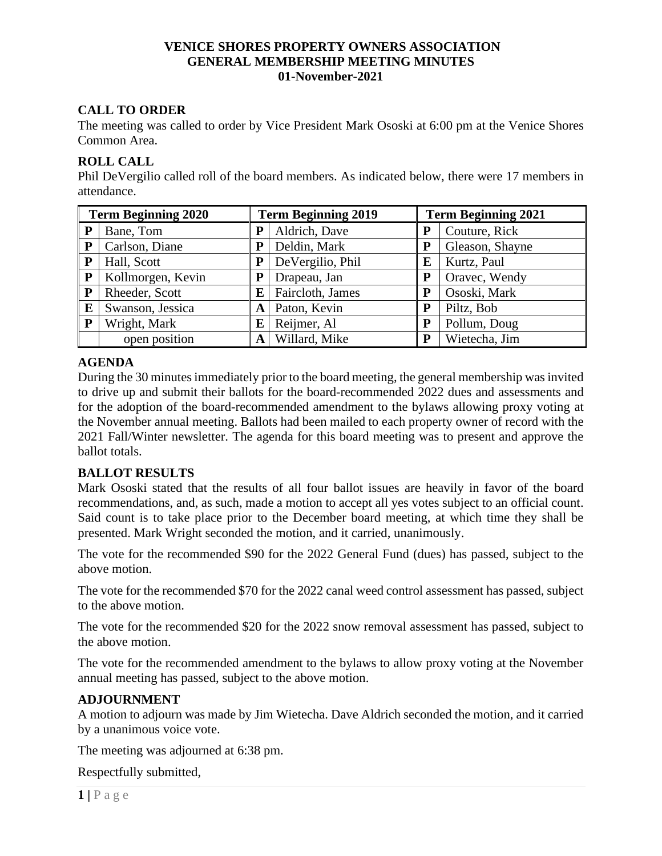#### **VENICE SHORES PROPERTY OWNERS ASSOCIATION GENERAL MEMBERSHIP MEETING MINUTES 01-November-2021**

## **CALL TO ORDER**

The meeting was called to order by Vice President Mark Ososki at 6:00 pm at the Venice Shores Common Area.

#### **ROLL CALL**

Phil DeVergilio called roll of the board members. As indicated below, there were 17 members in attendance.

| <b>Term Beginning 2020</b> |                   | <b>Term Beginning 2019</b> |                  | <b>Term Beginning 2021</b> |                 |
|----------------------------|-------------------|----------------------------|------------------|----------------------------|-----------------|
| P                          | Bane, Tom         | P                          | Aldrich, Dave    | P                          | Couture, Rick   |
| P                          | Carlson, Diane    | ${\bf P}$                  | Deldin, Mark     | P                          | Gleason, Shayne |
| P                          | Hall, Scott       | P                          | DeVergilio, Phil | E                          | Kurtz, Paul     |
| ${\bf P}$                  | Kollmorgen, Kevin | P                          | Drapeau, Jan     | P                          | Oravec, Wendy   |
| P                          | Rheeder, Scott    | E                          | Faircloth, James | P                          | Ososki, Mark    |
| E                          | Swanson, Jessica  | A                          | Paton, Kevin     | P                          | Piltz, Bob      |
| P                          | Wright, Mark      | E                          | Reijmer, Al      | P                          | Pollum, Doug    |
|                            | open position     | A                          | Willard, Mike    | P                          | Wietecha, Jim   |

### **AGENDA**

During the 30 minutes immediately prior to the board meeting, the general membership was invited to drive up and submit their ballots for the board-recommended 2022 dues and assessments and for the adoption of the board-recommended amendment to the bylaws allowing proxy voting at the November annual meeting. Ballots had been mailed to each property owner of record with the 2021 Fall/Winter newsletter. The agenda for this board meeting was to present and approve the ballot totals.

### **BALLOT RESULTS**

Mark Ososki stated that the results of all four ballot issues are heavily in favor of the board recommendations, and, as such, made a motion to accept all yes votes subject to an official count. Said count is to take place prior to the December board meeting, at which time they shall be presented. Mark Wright seconded the motion, and it carried, unanimously.

The vote for the recommended \$90 for the 2022 General Fund (dues) has passed, subject to the above motion.

The vote for the recommended \$70 for the 2022 canal weed control assessment has passed, subject to the above motion.

The vote for the recommended \$20 for the 2022 snow removal assessment has passed, subject to the above motion.

The vote for the recommended amendment to the bylaws to allow proxy voting at the November annual meeting has passed, subject to the above motion.

### **ADJOURNMENT**

A motion to adjourn was made by Jim Wietecha. Dave Aldrich seconded the motion, and it carried by a unanimous voice vote.

The meeting was adjourned at 6:38 pm.

Respectfully submitted,